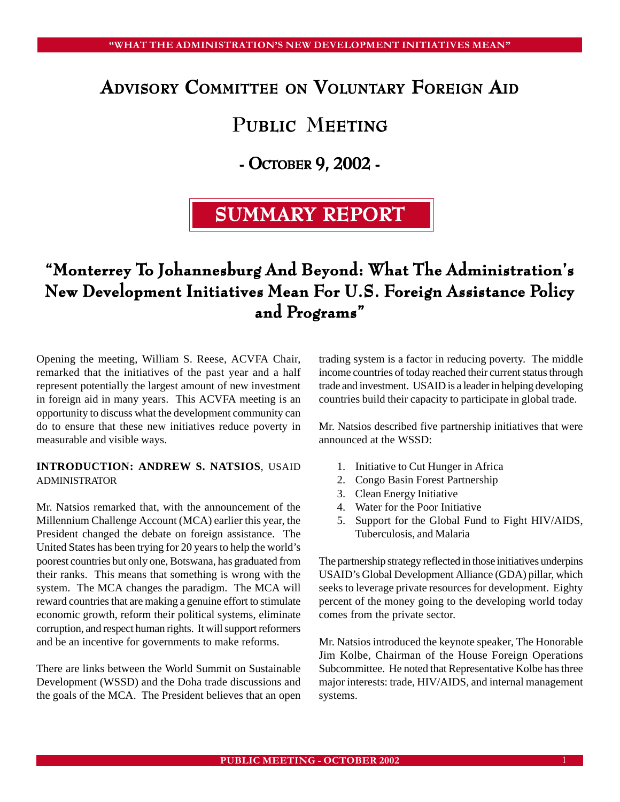# Advisory Committee on Voluntary Foreign Aid

# PUBLIC MEETING

# - OCTOBER 9, 2002 - - 2002 -

# SUMMARY REPORT

# "Monterrey To Johannesburg And Beyond: What The Administration's  $\,$ New Development Initiatives Mean For U.S. Foreign Assistance Policy and Programs"

Opening the meeting, William S. Reese, ACVFA Chair, remarked that the initiatives of the past year and a half represent potentially the largest amount of new investment in foreign aid in many years. This ACVFA meeting is an opportunity to discuss what the development community can do to ensure that these new initiatives reduce poverty in measurable and visible ways.

#### **INTRODUCTION: ANDREW S. NATSIOS**, USAID ADMINISTRATOR

Mr. Natsios remarked that, with the announcement of the Millennium Challenge Account (MCA) earlier this year, the President changed the debate on foreign assistance. The United States has been trying for 20 years to help the world's poorest countries but only one, Botswana, has graduated from their ranks. This means that something is wrong with the system. The MCA changes the paradigm. The MCA will reward countries that are making a genuine effort to stimulate economic growth, reform their political systems, eliminate corruption, and respect human rights. It will support reformers and be an incentive for governments to make reforms.

There are links between the World Summit on Sustainable Development (WSSD) and the Doha trade discussions and the goals of the MCA. The President believes that an open trading system is a factor in reducing poverty. The middle income countries of today reached their current status through trade and investment. USAID is a leader in helping developing countries build their capacity to participate in global trade.

Mr. Natsios described five partnership initiatives that were announced at the WSSD:

- 1. Initiative to Cut Hunger in Africa
- 2. Congo Basin Forest Partnership
- 3. Clean Energy Initiative
- 4. Water for the Poor Initiative
- 5. Support for the Global Fund to Fight HIV/AIDS, Tuberculosis, and Malaria

The partnership strategy reflected in those initiatives underpins USAID's Global Development Alliance (GDA) pillar, which seeks to leverage private resources for development. Eighty percent of the money going to the developing world today comes from the private sector.

Mr. Natsios introduced the keynote speaker, The Honorable Jim Kolbe, Chairman of the House Foreign Operations Subcommittee. He noted that Representative Kolbe has three major interests: trade, HIV/AIDS, and internal management systems.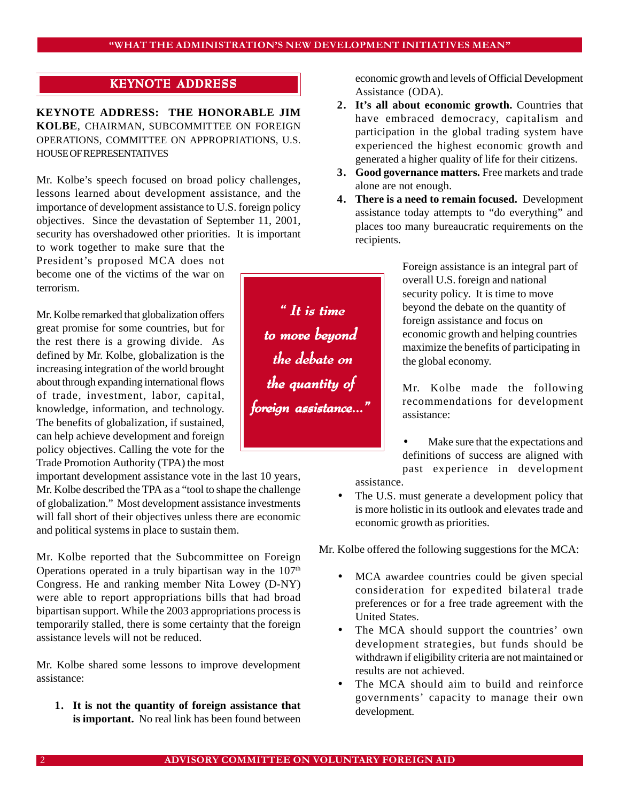Fraction of September 2001, about development assistance, and the<br>importance of development assistance to U.S. foreign policy<br>objectives. Since the devastation of September 11, 2001,<br>security has overshadowed other priorit

President's proposed MCA does not Foreign assistance is an integral part of become one of the victims of the war on Foreign assistance is an integral part of overall U.S. foreign and national

great promise for some countries, but for  $\boldsymbol{\theta}$  to **move beyond** the rest there is a growing divide. As defined by Mr. Kolbe, globalization is the **the Johnta on** the shakel proposes. defined by Mr. Kolbe, globalization is the **the debate on** the global economy. increasing integration of the world brought  $\|\cdot\|$ about through expanding international flows  $\begin{vmatrix} h & h \end{vmatrix}$  **the quantity of** Mr. Kolbe made the following about unough expanding international nows<br>of trade, investment, labor, capital,<br>knowledge, information, and technology. **Foreign assistance...**" knowledge, information, and technology.  $\int$  **foreign assistance...**" The benefits of globalization, if sustained, can help achieve development and foreign **and**  $\blacksquare$  **•** Make sure that the expectations and policy objectives. Calling the vote for the **and**  $\blacksquare$  **•** Make sure that the expectations and policy objectives. Calling the vote for the definitions of success are aligned with Trade Promotion Authority (TPA) the most

important development assistance vote in the last 10 years, Mr. Kolbe described the TPA as a "tool to shape the challenge **• The U.S.** must generate a development policy that of globalization." Most development assistance investments is more holistic in its outlook and elevates trade and will fall short of their objectives unless there are economic economic growth as priorities. and political systems in place to sustain them.

Mr. Kolbe reported that the Subcommittee on Foreign Operations operated in a truly bipartisan way in the  $107<sup>th</sup>$  Congress. He and ranking member Nita Lowey (D-NY) consideration for expedited bilateral trade were able to report appropriations bills that had broad preferences or for a free trade agreement with the bipartisan support. While the 2003 appropriations process is United States.<br>
United States. temporarily stalled, there is some certainty that the foreign value of the MCA should support the countries' own<br>assistance levels will not be reduced.

KEYNOTE ADDRESS economic growth and levels of Official Development Assistance (ODA).

- **KEYNOTE ADDRESS:** THE HONORABLE JIM **2.** It's all about economic growth. Countries that have embraced democracy, capitalism and **KOLBE**, CHAIRMAN, SUBCOMMITTEE ON FOREIGN<br>
OPERATIONS, COMMITTEE ON APPROPRIATIONS, U.S.<br>
HOUSE OF REPRESENTATIVES<br>
HOUSE OF REPRESENTATIVES<br>
EXPERIENCE AND THE PROPRIATIONS, U.S.<br>
Seperienced the highest economic growth
- Mr. Kolbe's speech focused on broad policy challenges, **3. Good governance matters.** Free markets and trade alone are not enough.
	-

overall U.S. foreign and national terrorism.<br>
security policy. It is time to move Mr. Kolbe remarked that globalization offers  $\boldsymbol{h}$  **for**  $\boldsymbol{h}$  **is time** beyond the debate on the quantity of foreign assistance and focus on  $\boldsymbol{h}$  foreign assistance and focus on economic growth and helping countr

past experience in development

assistance.

Mr. Kolbe offered the following suggestions for the MCA:

- MCA awardee countries could be given special
- assistance levels will not be reduced.<br>
development strategies, but funds should be Mr. Kolbe shared some lessons to improve development withdrawn if eligibility criteria are not maintained or results are not achieved.
	- The MCA should aim to build and reinforce **1.** It is not the quantity of foreign assistance that is important. No real link has been found between development.

to move beyond the debate on the quantity of foreign assistance..."  $\,$ 

" It is time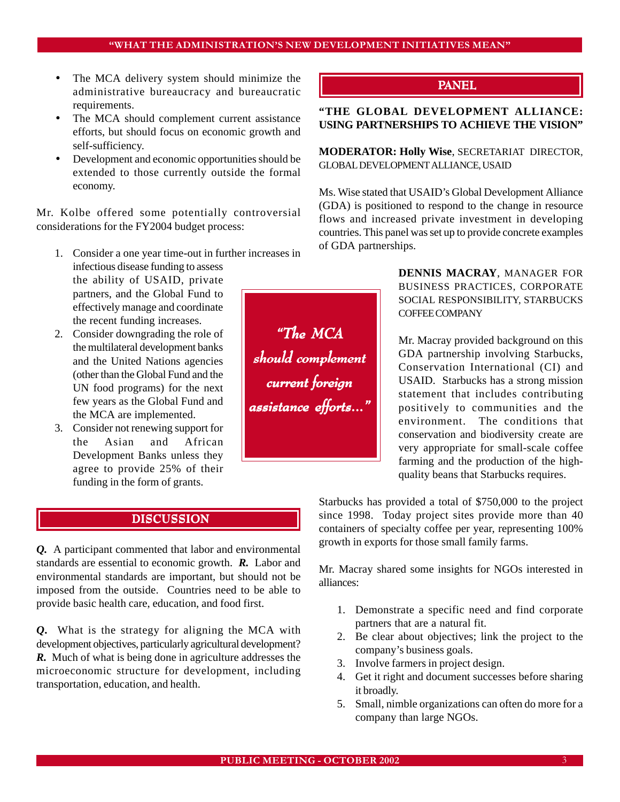- The MCA delivery system should minimize the administrative bureaucracy and bureaucratic **PANEL**
- Fine MCA should complement current assistance **USING PARTNERSHIPS TO ACHIEVE THE VISION**" efforts, but should focus on economic growth and
- • Development and economic opportunities should be GLOBAL DEVELOPMENT ALLIANCE, USAID extended to those currently outside the formal

- 1. Consider a one year time-out in further increases in of GDA partnerships. infectious disease funding to assess<br>the ability of USAID, private BUSINESS PRACTICES, CORPORATE partners, and the Global Fund to partners, and the Global Fund to<br>effectively manage and coordinate the recent funding increases.
- 
- funding in the form of grants.

## **DISCUSSION**

*Q.* A participant commented that labor and environmental standards are essential to economic growth. *R.* Labor and environmental standards are important, but should not be imposed from the outside. Countries need to be able to provide basic health care, education, and food first.

*Q.* What is the strategy for aligning the MCA with development objectives, particularly agricultural development? *R.* Much of what is being done in agriculture addresses the microeconomic structure for development, including transportation, education, and health.

"The MCA should complement current foreign assistance efforts..."  $\;$ 

# requirements.<br>The MCA should complement current assistance<br> $\begin{array}{c}\n\text{"THE GLOBAL DEVELOPMENT ALLIANCE:}\n\end{array}$

self-sufficiency.<br>
Development and economic opportunities should be<br> **MODERATOR: Holly Wise**, SECRETARIAT DIRECTOR,<br>  $\frac{1}{2}$  and  $\frac{1}{2}$  and  $\frac{1}{2}$  and  $\frac{1}{2}$  and  $\frac{1}{2}$  and  $\frac{1}{2}$  and  $\frac{1}{2}$  and  $\frac{1}{2$ 

economy. Ms. Wise stated that USAID's Global Development Alliance Mr. Kolbe offered some potentially controversial (GDA) is positioned to respond to the change in resource<br>considerations for the FY2004 budget process:<br>constitutions for the FY2004 budget process:<br>countries. This panel was

2. Consider downgrading the role of<br>
the multilateral development banks<br>
and the United Nations agencies<br>
(other than the Global Fund and the<br>
UN food programs) for the next<br>
the MCA<br>
UN food programs) for the next<br>
the MC quality beans that Starbucks requires.

> Starbucks has provided a total of \$750,000 to the project since 1998. Today project sites provide more than 40 containers of specialty coffee per year, representing 100% growth in exports for those small family farms.

> Mr. Macray shared some insights for NGOs interested in alliances:

- 1. Demonstrate a specific need and find corporate partners that are a natural fit.
- 2. Be clear about objectives; link the project to the company's business goals.
- 3. Involve farmers in project design.
- 4. Get it right and document successes before sharing it broadly.
- 5. Small, nimble organizations can often do more for a company than large NGOs.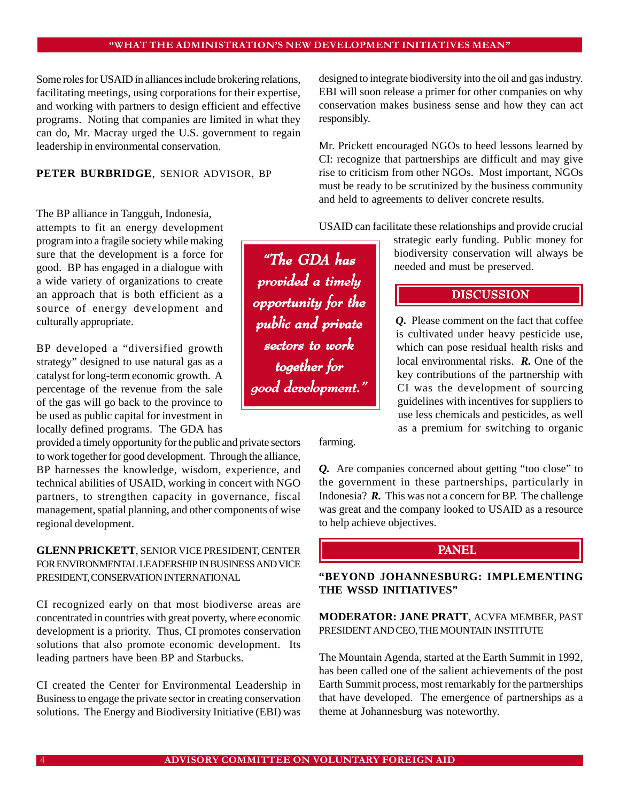#### "WHAT THE ADMINISTRATION'S NEW DEVELOPMENT INITIATIVES MEAN"

Some roles for USAID in alliances include brokering relations, facilitating meetings, using corporations for their expertise, and working with partners to design efficient and effective programs. Noting that companies are limited in what they can do, Mr. Macray urged the U.S. government to regain leadership in environmental conservation.

#### **PETER BURBRIDGE**, SENIOR ADVISOR, BP

The BP alliance in Tangguh, Indonesia, attempts to fit an energy development program into a fragile society while making sure that the development is a force for good. BP has engaged in a dialogue with a wide variety of organizations to create an approach that is both efficient as a source of energy development and

strategy" designed to use natural gas as a catalyst for long-term economic growth. A **k**ey contributions of the partnership with percentage of the revenue from the sale  $\boldsymbol{good}\,\boldsymbol{development.}''$  CI was the development of sourcing of the gas will go back to the province to of the gas will go back to the province to be used as public capital for investment in locally defined programs. The GDA has

provided a timely opportunity for the public and private sectors to work together for good development. Through the alliance, BP harnesses the knowledge, wisdom, experience, and technical abilities of USAID, working in concert with NGO partners, to strengthen capacity in governance, fiscal management, spatial planning, and other components of wise regional development.

#### **GLENN PRICKETT**, SENIOR VICE PRESIDENT, CENTER FOR ENVIRONMENTAL LEADERSHIP IN BUSINESS AND VICE PRESIDENT, CONSERVATION INTERNATIONAL

CI recognized early on that most biodiverse areas are concentrated in countries with great poverty, where economic development is a priority. Thus, CI promotes conservation solutions that also promote economic development. Its leading partners have been BP and Starbucks.

CI created the Center for Environmental Leadership in Business to engage the private sector in creating conservation solutions. The Energy and Biodiversity Initiative (EBI) was designed to integrate biodiversity into the oil and gas industry. EBI will soon release a primer for other companies on why conservation makes business sense and how they can act responsibly.

Mr. Prickett encouraged NGOs to heed lessons learned by CI: recognize that partnerships are difficult and may give rise to criticism from other NGOs. Most important, NGOs must be ready to be scrutinized by the business community and held to agreements to deliver concrete results.

USAID can facilitate these relationships and provide crucial

"The GDA has provided a timely opportunity for the public and private sectors to work together for good development." strategic early funding. Public money for biodiversity conservation will always be needed and must be preserved.

#### **DISCUSSION**

culturally appropriate.  $\begin{vmatrix} \n\end{vmatrix}$  **public and private**  $\begin{vmatrix} Q \end{vmatrix}$  Q. Please comment on the fact that coffee is cultivated under heavy pesticide use,<br>which can pose residual health risks and BP developed a "diversified growth **sectors to work** which can pose residual health risks and strate ov designed to use natural gas as a use less chemicals and pesticides, as well as a premium for switching to organic

farming.

*Q.* Are companies concerned about getting "too close" to the government in these partnerships, particularly in Indonesia? *R.* This was not a concern for BP. The challenge was great and the company looked to USAID as a resource to help achieve objectives.

#### PANEL

#### **"BEYOND JOHANNESBURG: IMPLEMENTING THE WSSD INITIATIVES"**

**MODERATOR: JANE PRATT**, ACVFA MEMBER, PAST PRESIDENT AND CEO, THE MOUNTAIN INSTITUTE

The Mountain Agenda, started at the Earth Summit in 1992, has been called one of the salient achievements of the post Earth Summit process, most remarkably for the partnerships that have developed. The emergence of partnerships as a theme at Johannesburg was noteworthy.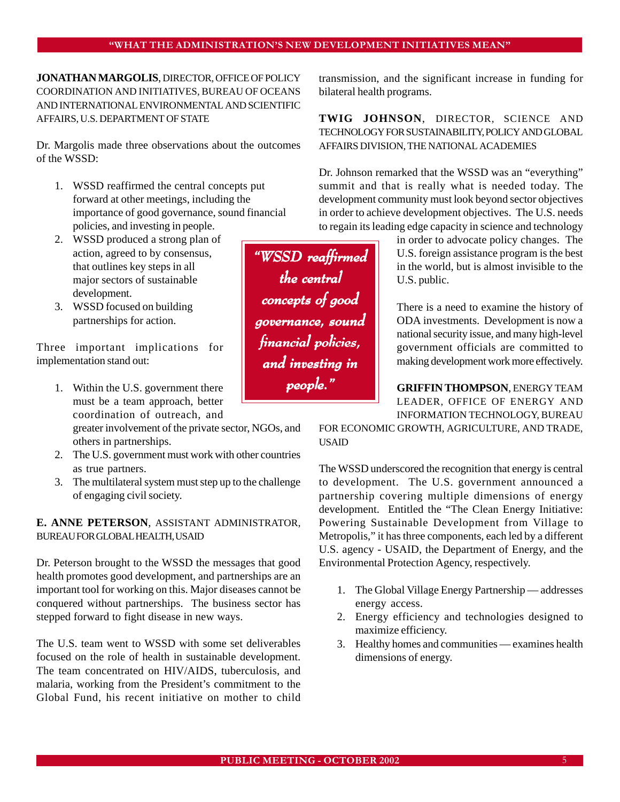#### "WHAT THE ADMINISTRATION'S NEW DEVELOPMENT INITIATIVES MEAN"

**JONATHAN MARGOLIS**, DIRECTOR, OFFICE OF POLICY COORDINATION AND INITIATIVES, BUREAU OF OCEANS AND INTERNATIONAL ENVIRONMENTAL AND SCIENTIFIC AFFAIRS, U.S. DEPARTMENT OF STATE

Dr. Margolis made three observations about the outcomes of the WSSD:

- 1. WSSD reaffirmed the central concepts put forward at other meetings, including the importance of good governance, sound financial policies, and investing in people.
- 2. WSSD produced a strong plan of action, agreed to by consensus,<br>that outlines key steps in all  $\boldsymbol{WSSD}$  reaffirmed major sectors of sustainable **unital interventual contral** U.S. public. development.
- 

Three important implications for

1. Within the U.S. government there **GRIFFIN THOMPSON**, ENERGY TEAM coordination of outreach, and

greater involvement of the private sector, NGOs, and others in partnerships.

- 2. The U.S. government must work with other countries as true partners.
- 3. The multilateral system must step up to the challenge of engaging civil society.

**E. ANNE PETERSON**, ASSISTANT ADMINISTRATOR, BUREAU FOR GLOBAL HEALTH, USAID

Dr. Peterson brought to the WSSD the messages that good health promotes good development, and partnerships are an important tool for working on this. Major diseases cannot be conquered without partnerships. The business sector has stepped forward to fight disease in new ways.

The U.S. team went to WSSD with some set deliverables focused on the role of health in sustainable development. The team concentrated on HIV/AIDS, tuberculosis, and malaria, working from the President's commitment to the Global Fund, his recent initiative on mother to child transmission, and the significant increase in funding for bilateral health programs.

**TWIG JOHNSON**, DIRECTOR, SCIENCE AND TECHNOLOGY FOR SUSTAINABILITY, POLICY AND GLOBAL AFFAIRS DIVISION, THE NATIONAL ACADEMIES

Dr. Johnson remarked that the WSSD was an "everything" summit and that is really what is needed today. The development community must look beyond sector objectives in order to achieve development objectives. The U.S. needs to regain its leading edge capacity in science and technology

> in order to advocate policy changes. The U.S. foreign assistance program is the best in the world, but is almost invisible to the

3. WSSD focused on building **There** is a need to examine the history of partnerships for action. **ODA** investments. Development is now a national security issue, and many high-level<br>government officials are committed to implementation stand out: **and importing in** making development work more effectively.

must be a team approach, better **LEADER, OFFICE OF ENERGY AND** INFORMATION TECHNOLOGY, BUREAU

> FOR ECONOMIC GROWTH, AGRICULTURE, AND TRADE, USAID

> The WSSD underscored the recognition that energy is central to development. The U.S. government announced a partnership covering multiple dimensions of energy development. Entitled the "The Clean Energy Initiative: Powering Sustainable Development from Village to Metropolis," it has three components, each led by a different U.S. agency - USAID, the Department of Energy, and the Environmental Protection Agency, respectively.

- 1. The Global Village Energy Partnership addresses energy access.
- 2. Energy efficiency and technologies designed to maximize efficiency.
- 3. Healthy homes and communities examines health dimensions of energy.

the central concepts of good governance, sound financial policies, and investing in people."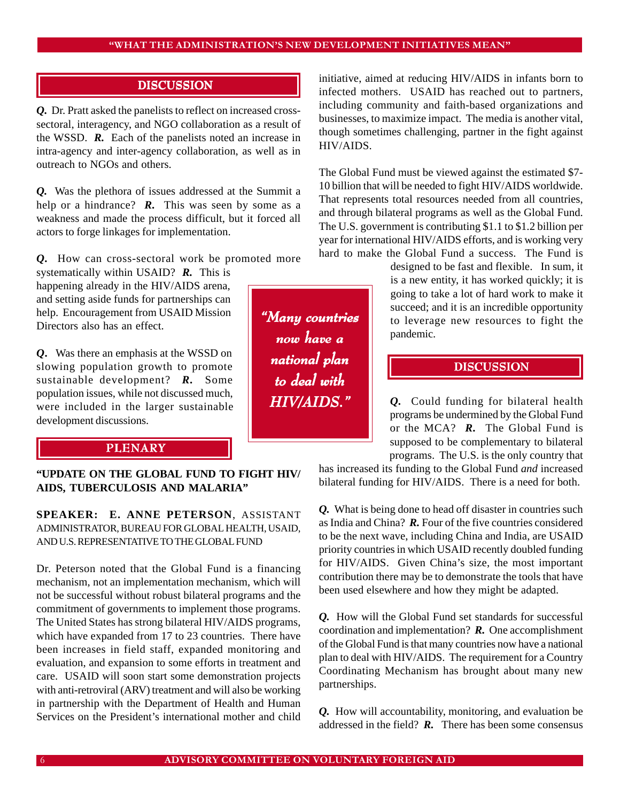"Many countries

now have a

national plan

to deal with HIV/AIDS."

### **DISCUSSION**

*Q.* Dr. Pratt asked the panelists to reflect on increased crosssectoral, interagency, and NGO collaboration as a result of the WSSD. *R.* Each of the panelists noted an increase in intra-agency and inter-agency collaboration, as well as in outreach to NGOs and others.

*Q.* Was the plethora of issues addressed at the Summit a help or a hindrance? *R.* This was seen by some as a weakness and made the process difficult, but it forced all actors to forge linkages for implementation.

*Q.* How can cross-sectoral work be promoted more systematically within USAID? *R.* This is

happening already in the HIV/AIDS arena,<br>and estimated funds for next enables arena, is a new entity, it has worked quickly; it is going to take a lot of hard work to make it and setting aside funds for partnerships can going to take a lot of hard work to make it<br>had a lot of hard work to make it help. Encouragement from USAID Mission Directors also has an effect.

*Q.* Was there an emphasis at the WSSD on slowing population growth to promote sustainable development? *R.* Some population issues, while not discussed much, were included in the larger sustainable *HIV/AIDS.*  $\blacksquare$  *Q.* Could funding for bilateral health

#### **PLENARY**

#### **"UPDATE ON THE GLOBAL FUND TO FIGHT HIV/ AIDS, TUBERCULOSIS AND MALARIA"**

**SPEAKER: E. ANNE PETERSON**, ASSISTANT ADMINISTRATOR, BUREAU FOR GLOBAL HEALTH, USAID, AND U.S. REPRESENTATIVE TO THE GLOBAL FUND

Dr. Peterson noted that the Global Fund is a financing mechanism, not an implementation mechanism, which will not be successful without robust bilateral programs and the commitment of governments to implement those programs. The United States has strong bilateral HIV/AIDS programs, which have expanded from 17 to 23 countries. There have been increases in field staff, expanded monitoring and evaluation, and expansion to some efforts in treatment and care. USAID will soon start some demonstration projects with anti-retroviral (ARV) treatment and will also be working in partnership with the Department of Health and Human Services on the President's international mother and child initiative, aimed at reducing HIV/AIDS in infants born to infected mothers. USAID has reached out to partners, including community and faith-based organizations and businesses, to maximize impact. The media is another vital, though sometimes challenging, partner in the fight against HIV/AIDS.

The Global Fund must be viewed against the estimated \$7- 10 billion that will be needed to fight HIV/AIDS worldwide. That represents total resources needed from all countries, and through bilateral programs as well as the Global Fund. The U.S. government is contributing \$1.1 to \$1.2 billion per year for international HIV/AIDS efforts, and is working very hard to make the Global Fund a success. The Fund is

> designed to be fast and flexible. In sum, it pandemic.

#### **DISCUSSION**

development discussions. or the MCA? *R.* The Global Fund is supposed to be complementary to bilateral programs. The U.S. is the only country that

> has increased its funding to the Global Fund *and* increased bilateral funding for HIV/AIDS. There is a need for both.

> *Q.* What is being done to head off disaster in countries such as India and China? *R.* Four of the five countries considered to be the next wave, including China and India, are USAID priority countries in which USAID recently doubled funding for HIV/AIDS. Given China's size, the most important contribution there may be to demonstrate the tools that have been used elsewhere and how they might be adapted.

> *Q.* How will the Global Fund set standards for successful coordination and implementation? *R.* One accomplishment of the Global Fund is that many countries now have a national plan to deal with HIV/AIDS. The requirement for a Country Coordinating Mechanism has brought about many new partnerships.

> *Q.* How will accountability, monitoring, and evaluation be addressed in the field? *R.* There has been some consensus